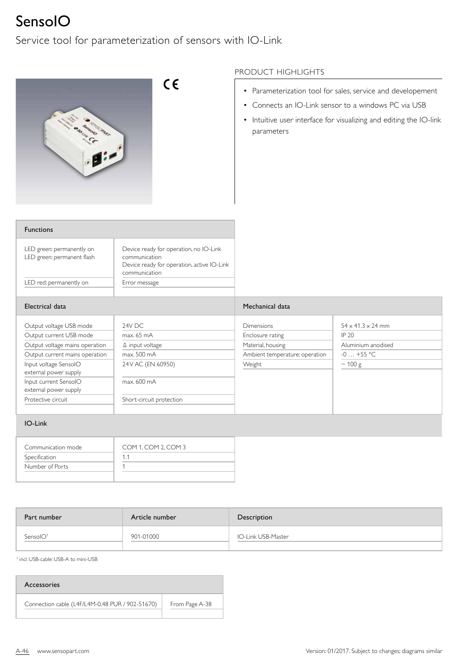## SensoIO

Service tool for parameterization of sensors with IO-Link



## PRODUCT HIGHLIGHTS

- Parameterization tool for sales, service and developement
- Connects an IO-Link sensor to a windows PC via USB
- Intuitive user interface for visualizing and editing the IO-link parameters

| <b>Functions</b>                                        |                                                                                                                        |
|---------------------------------------------------------|------------------------------------------------------------------------------------------------------------------------|
| LED green: permanently on<br>LED green: permanent flash | Device ready for operation, no IO-Link<br>communication<br>Device ready for operation, active IO-Link<br>communication |
| LED red: permanently on                                 | Error message                                                                                                          |
|                                                         |                                                                                                                        |

| Electrical data                                                                      |                                                   | Mechanical data                                            |                                                              |
|--------------------------------------------------------------------------------------|---------------------------------------------------|------------------------------------------------------------|--------------------------------------------------------------|
| Output voltage USB mode<br>Output current USB mode<br>Output voltage mains operation | 24V DC<br>max. 65 mA<br>$\triangle$ input voltage | <b>Dimensions</b><br>Enclosure rating<br>Material, housing | $54 \times 41.3 \times 24$ mm<br>IP 20<br>Aluminium anodised |
| Output current mains operation<br>Input voltage SensolO                              | max. 500 mA<br>24 V AC (EN 60950)                 | Ambient temperature: operation<br>Weight                   | $-0+55$ °C<br>$\sim$ 100 g                                   |
| external power supply<br>Input current SensolO<br>external power supply              | max. 600 mA                                       |                                                            |                                                              |
| Protective circuit                                                                   | Short-circuit protection                          |                                                            |                                                              |

## IO-Link

| Communication mode | COM 1, COM 2, COM 3 |
|--------------------|---------------------|
| Specification      |                     |
| Number of Ports    |                     |
|                    |                     |

| Part number | Article number | Description        |
|-------------|----------------|--------------------|
| Sensol $O1$ | 901-01000      | IO-Link USB-Master |

1 incl. USB-cable: USB-A to mini-USB

| Accessories                                     |                |  |  |  |
|-------------------------------------------------|----------------|--|--|--|
| Connection cable (L4F/L4M-0,48 PUR / 902-51670) | From Page A-38 |  |  |  |